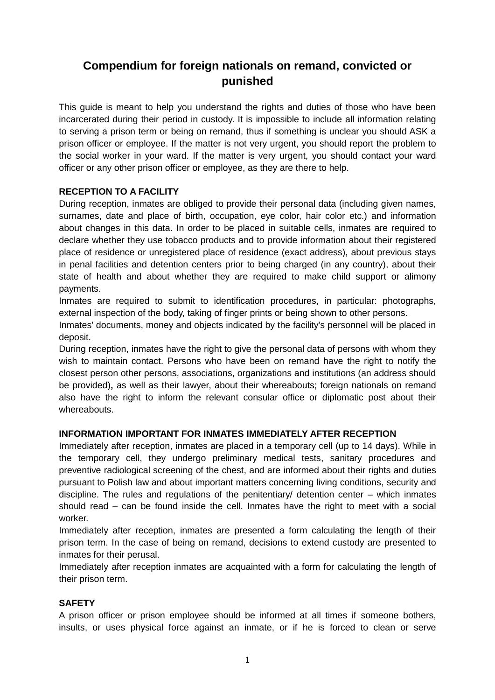# **Compendium for foreign nationals on remand, convicted or punished**

This guide is meant to help you understand the rights and duties of those who have been incarcerated during their period in custody. It is impossible to include all information relating to serving a prison term or being on remand, thus if something is unclear you should ASK a prison officer or employee. If the matter is not very urgent, you should report the problem to the social worker in your ward. If the matter is very urgent, you should contact your ward officer or any other prison officer or employee, as they are there to help.

## **RECEPTION TO A FACILITY**

During reception, inmates are obliged to provide their personal data (including given names, surnames, date and place of birth, occupation, eye color, hair color etc.) and information about changes in this data. In order to be placed in suitable cells, inmates are required to declare whether they use tobacco products and to provide information about their registered place of residence or unregistered place of residence (exact address), about previous stays in penal facilities and detention centers prior to being charged (in any country), about their state of health and about whether they are required to make child support or alimony payments.

Inmates are required to submit to identification procedures, in particular: photographs, external inspection of the body, taking of finger prints or being shown to other persons.

Inmates' documents, money and objects indicated by the facility's personnel will be placed in deposit.

During reception, inmates have the right to give the personal data of persons with whom they wish to maintain contact. Persons who have been on remand have the right to notify the closest person other persons, associations, organizations and institutions (an address should be provided)**,** as well as their lawyer, about their whereabouts; foreign nationals on remand also have the right to inform the relevant consular office or diplomatic post about their whereabouts.

## **INFORMATION IMPORTANT FOR INMATES IMMEDIATELY AFTER RECEPTION**

Immediately after reception, inmates are placed in a temporary cell (up to 14 days). While in the temporary cell, they undergo preliminary medical tests, sanitary procedures and preventive radiological screening of the chest, and are informed about their rights and duties pursuant to Polish law and about important matters concerning living conditions, security and discipline. The rules and regulations of the penitentiary/ detention center – which inmates should read – can be found inside the cell. Inmates have the right to meet with a social worker.

Immediately after reception, inmates are presented a form calculating the length of their prison term. In the case of being on remand, decisions to extend custody are presented to inmates for their perusal.

Immediately after reception inmates are acquainted with a form for calculating the length of their prison term.

#### **SAFETY**

A prison officer or prison employee should be informed at all times if someone bothers, insults, or uses physical force against an inmate, or if he is forced to clean or serve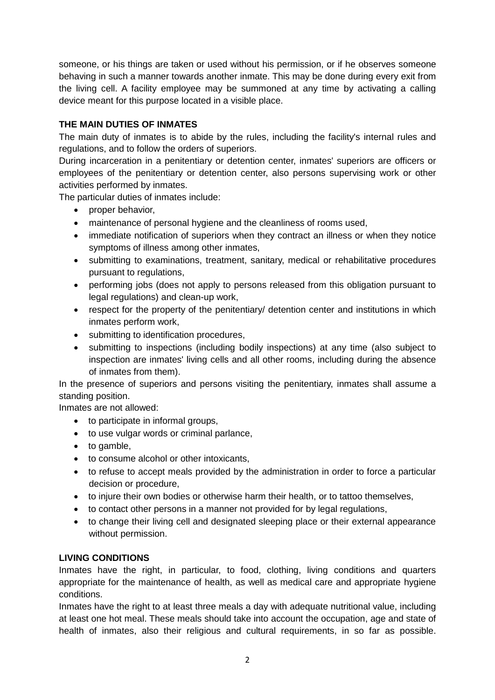someone, or his things are taken or used without his permission, or if he observes someone behaving in such a manner towards another inmate. This may be done during every exit from the living cell. A facility employee may be summoned at any time by activating a calling device meant for this purpose located in a visible place.

# **THE MAIN DUTIES OF INMATES**

The main duty of inmates is to abide by the rules, including the facility's internal rules and regulations, and to follow the orders of superiors.

During incarceration in a penitentiary or detention center, inmates' superiors are officers or employees of the penitentiary or detention center, also persons supervising work or other activities performed by inmates.

The particular duties of inmates include:

- proper behavior,
- maintenance of personal hygiene and the cleanliness of rooms used,
- immediate notification of superiors when they contract an illness or when they notice symptoms of illness among other inmates,
- submitting to examinations, treatment, sanitary, medical or rehabilitative procedures pursuant to regulations,
- performing jobs (does not apply to persons released from this obligation pursuant to legal regulations) and clean-up work,
- respect for the property of the penitentiary/ detention center and institutions in which inmates perform work,
- submitting to identification procedures,
- submitting to inspections (including bodily inspections) at any time (also subject to inspection are inmates' living cells and all other rooms, including during the absence of inmates from them).

In the presence of superiors and persons visiting the penitentiary, inmates shall assume a standing position.

Inmates are not allowed:

- to participate in informal groups,
- to use vulgar words or criminal parlance,
- to gamble,
- to consume alcohol or other intoxicants,
- to refuse to accept meals provided by the administration in order to force a particular decision or procedure,
- to injure their own bodies or otherwise harm their health, or to tattoo themselves,
- to contact other persons in a manner not provided for by legal regulations,
- to change their living cell and designated sleeping place or their external appearance without permission.

## **LIVING CONDITIONS**

Inmates have the right, in particular, to food, clothing, living conditions and quarters appropriate for the maintenance of health, as well as medical care and appropriate hygiene conditions.

Inmates have the right to at least three meals a day with adequate nutritional value, including at least one hot meal. These meals should take into account the occupation, age and state of health of inmates, also their religious and cultural requirements, in so far as possible.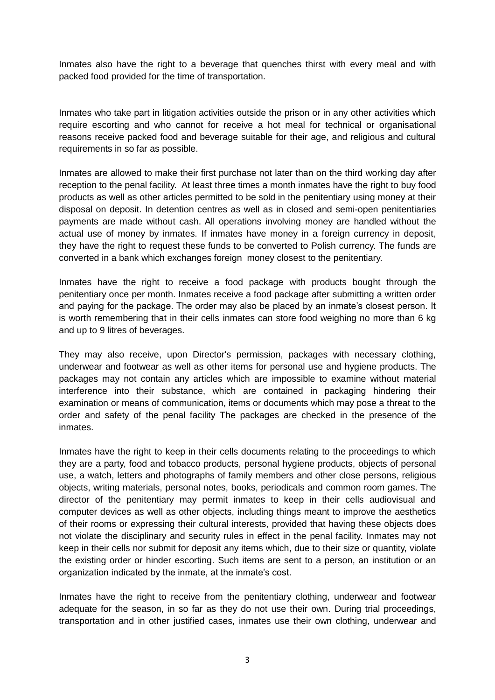Inmates also have the right to a beverage that quenches thirst with every meal and with packed food provided for the time of transportation.

Inmates who take part in litigation activities outside the prison or in any other activities which require escorting and who cannot for receive a hot meal for technical or organisational reasons receive packed food and beverage suitable for their age, and religious and cultural requirements in so far as possible.

Inmates are allowed to make their first purchase not later than on the third working day after reception to the penal facility. At least three times a month inmates have the right to buy food products as well as other articles permitted to be sold in the penitentiary using money at their disposal on deposit. In detention centres as well as in closed and semi-open penitentiaries payments are made without cash. All operations involving money are handled without the actual use of money by inmates. If inmates have money in a foreign currency in deposit, they have the right to request these funds to be converted to Polish currency. The funds are converted in a bank which exchanges foreign money closest to the penitentiary.

Inmates have the right to receive a food package with products bought through the penitentiary once per month. Inmates receive a food package after submitting a written order and paying for the package. The order may also be placed by an inmate's closest person. It is worth remembering that in their cells inmates can store food weighing no more than 6 kg and up to 9 litres of beverages.

They may also receive, upon Director's permission, packages with necessary clothing, underwear and footwear as well as other items for personal use and hygiene products. The packages may not contain any articles which are impossible to examine without material interference into their substance, which are contained in packaging hindering their examination or means of communication, items or documents which may pose a threat to the order and safety of the penal facility The packages are checked in the presence of the inmates.

Inmates have the right to keep in their cells documents relating to the proceedings to which they are a party, food and tobacco products, personal hygiene products, objects of personal use, a watch, letters and photographs of family members and other close persons, religious objects, writing materials, personal notes, books, periodicals and common room games. The director of the penitentiary may permit inmates to keep in their cells audiovisual and computer devices as well as other objects, including things meant to improve the aesthetics of their rooms or expressing their cultural interests, provided that having these objects does not violate the disciplinary and security rules in effect in the penal facility. Inmates may not keep in their cells nor submit for deposit any items which, due to their size or quantity, violate the existing order or hinder escorting. Such items are sent to a person, an institution or an organization indicated by the inmate, at the inmate's cost.

Inmates have the right to receive from the penitentiary clothing, underwear and footwear adequate for the season, in so far as they do not use their own. During trial proceedings, transportation and in other justified cases, inmates use their own clothing, underwear and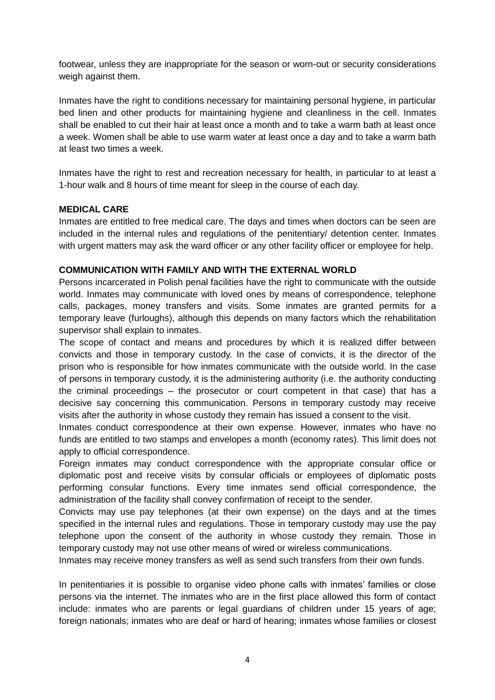footwear, unless they are inappropriate for the season or worn-out or security considerations weigh against them.

Inmates have the right to conditions necessary for maintaining personal hygiene, in particular bed linen and other products for maintaining hygiene and cleanliness in the cell. Inmates shall be enabled to cut their hair at least once a month and to take a warm bath at least once a week. Women shall be able to use warm water at least once a day and to take a warm bath at least two times a week.

Inmates have the right to rest and recreation necessary for health, in particular to at least a 1-hour walk and 8 hours of time meant for sleep in the course of each day.

#### **MEDICAL CARE**

Inmates are entitled to free medical care. The days and times when doctors can be seen are included in the internal rules and regulations of the penitentiary/ detention center. Inmates with urgent matters may ask the ward officer or any other facility officer or employee for help.

#### **COMMUNICATION WITH FAMILY AND WITH THE EXTERNAL WORLD**

Persons incarcerated in Polish penal facilities have the right to communicate with the outside world. Inmates may communicate with loved ones by means of correspondence, telephone calls, packages, money transfers and visits. Some inmates are granted permits for a temporary leave (furloughs), although this depends on many factors which the rehabilitation supervisor shall explain to inmates.

The scope of contact and means and procedures by which it is realized differ between convicts and those in temporary custody. In the case of convicts, it is the director of the prison who is responsible for how inmates communicate with the outside world. In the case of persons in temporary custody, it is the administering authority (i.e. the authority conducting the criminal proceedings – the prosecutor or court competent in that case) that has a decisive say concerning this communication. Persons in temporary custody may receive visits after the authority in whose custody they remain has issued a consent to the visit.

Inmates conduct correspondence at their own expense. However, inmates who have no funds are entitled to two stamps and envelopes a month (economy rates). This limit does not apply to official correspondence.

Foreign inmates may conduct correspondence with the appropriate consular office or diplomatic post and receive visits by consular officials or employees of diplomatic posts performing consular functions. Every time inmates send official correspondence, the administration of the facility shall convey confirmation of receipt to the sender.

Convicts may use pay telephones (at their own expense) on the days and at the times specified in the internal rules and regulations. Those in temporary custody may use the pay telephone upon the consent of the authority in whose custody they remain. Those in temporary custody may not use other means of wired or wireless communications.

Inmates may receive money transfers as well as send such transfers from their own funds.

In penitentiaries it is possible to organise video phone calls with inmates' families or close persons via the internet. The inmates who are in the first place allowed this form of contact include: inmates who are parents or legal guardians of children under 15 years of age; foreign nationals; inmates who are deaf or hard of hearing; inmates whose families or closest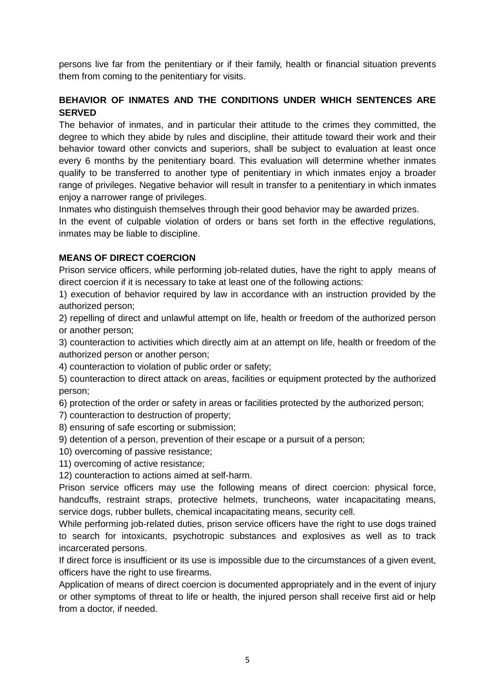persons live far from the penitentiary or if their family, health or financial situation prevents them from coming to the penitentiary for visits.

# **BEHAVIOR OF INMATES AND THE CONDITIONS UNDER WHICH SENTENCES ARE SERVED**

The behavior of inmates, and in particular their attitude to the crimes they committed, the degree to which they abide by rules and discipline, their attitude toward their work and their behavior toward other convicts and superiors, shall be subject to evaluation at least once every 6 months by the penitentiary board. This evaluation will determine whether inmates qualify to be transferred to another type of penitentiary in which inmates enjoy a broader range of privileges. Negative behavior will result in transfer to a penitentiary in which inmates enjoy a narrower range of privileges.

Inmates who distinguish themselves through their good behavior may be awarded prizes.

In the event of culpable violation of orders or bans set forth in the effective regulations, inmates may be liable to discipline.

## **MEANS OF DIRECT COERCION**

Prison service officers, while performing job-related duties, have the right to apply means of direct coercion if it is necessary to take at least one of the following actions:

1) execution of behavior required by law in accordance with an instruction provided by the authorized person;

2) repelling of direct and unlawful attempt on life, health or freedom of the authorized person or another person;

3) counteraction to activities which directly aim at an attempt on life, health or freedom of the authorized person or another person;

4) counteraction to violation of public order or safety;

5) counteraction to direct attack on areas, facilities or equipment protected by the authorized person;

6) protection of the order or safety in areas or facilities protected by the authorized person;

- 7) counteraction to destruction of property;
- 8) ensuring of safe escorting or submission;
- 9) detention of a person, prevention of their escape or a pursuit of a person;
- 10) overcoming of passive resistance;
- 11) overcoming of active resistance;
- 12) counteraction to actions aimed at self-harm.

Prison service officers may use the following means of direct coercion: physical force, handcuffs, restraint straps, protective helmets, truncheons, water incapacitating means, service dogs, rubber bullets, chemical incapacitating means, security cell.

While performing job-related duties, prison service officers have the right to use dogs trained to search for intoxicants, psychotropic substances and explosives as well as to track incarcerated persons.

If direct force is insufficient or its use is impossible due to the circumstances of a given event, officers have the right to use firearms.

Application of means of direct coercion is documented appropriately and in the event of injury or other symptoms of threat to life or health, the injured person shall receive first aid or help from a doctor, if needed.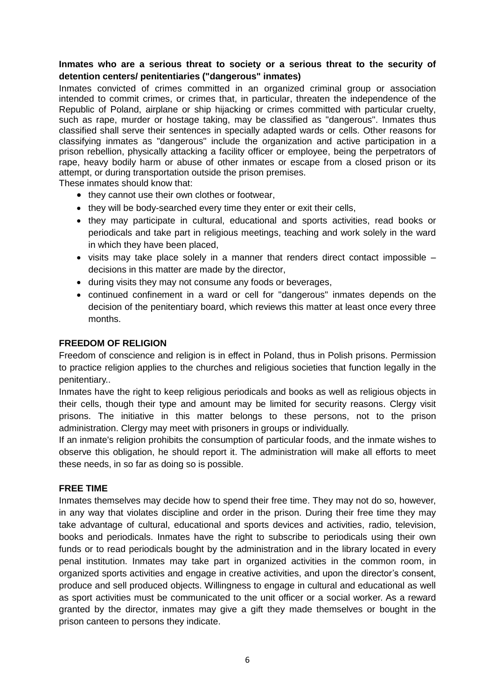## **Inmates who are a serious threat to society or a serious threat to the security of detention centers/ penitentiaries ("dangerous" inmates)**

Inmates convicted of crimes committed in an organized criminal group or association intended to commit crimes, or crimes that, in particular, threaten the independence of the Republic of Poland, airplane or ship hijacking or crimes committed with particular cruelty, such as rape, murder or hostage taking, may be classified as "dangerous". Inmates thus classified shall serve their sentences in specially adapted wards or cells. Other reasons for classifying inmates as "dangerous" include the organization and active participation in a prison rebellion, physically attacking a facility officer or employee, being the perpetrators of rape, heavy bodily harm or abuse of other inmates or escape from a closed prison or its attempt, or during transportation outside the prison premises.

These inmates should know that:

- they cannot use their own clothes or footwear,
- they will be body-searched every time they enter or exit their cells,
- they may participate in cultural, educational and sports activities, read books or periodicals and take part in religious meetings, teaching and work solely in the ward in which they have been placed,
- visits may take place solely in a manner that renders direct contact impossible decisions in this matter are made by the director,
- during visits they may not consume any foods or beverages,
- continued confinement in a ward or cell for "dangerous" inmates depends on the decision of the penitentiary board, which reviews this matter at least once every three months.

#### **FREEDOM OF RELIGION**

Freedom of conscience and religion is in effect in Poland, thus in Polish prisons. Permission to practice religion applies to the churches and religious societies that function legally in the penitentiary..

Inmates have the right to keep religious periodicals and books as well as religious objects in their cells, though their type and amount may be limited for security reasons. Clergy visit prisons. The initiative in this matter belongs to these persons, not to the prison administration. Clergy may meet with prisoners in groups or individually.

If an inmate's religion prohibits the consumption of particular foods, and the inmate wishes to observe this obligation, he should report it. The administration will make all efforts to meet these needs, in so far as doing so is possible.

#### **FREE TIME**

Inmates themselves may decide how to spend their free time. They may not do so, however, in any way that violates discipline and order in the prison. During their free time they may take advantage of cultural, educational and sports devices and activities, radio, television, books and periodicals. Inmates have the right to subscribe to periodicals using their own funds or to read periodicals bought by the administration and in the library located in every penal institution. Inmates may take part in organized activities in the common room, in organized sports activities and engage in creative activities, and upon the director's consent, produce and sell produced objects. Willingness to engage in cultural and educational as well as sport activities must be communicated to the unit officer or a social worker. As a reward granted by the director, inmates may give a gift they made themselves or bought in the prison canteen to persons they indicate.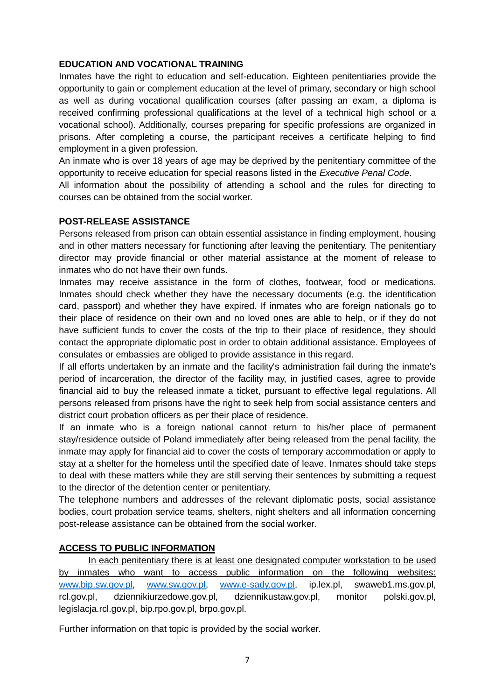## **EDUCATION AND VOCATIONAL TRAINING**

Inmates have the right to education and self-education. Eighteen penitentiaries provide the opportunity to gain or complement education at the level of primary, secondary or high school as well as during vocational qualification courses (after passing an exam, a diploma is received confirming professional qualifications at the level of a technical high school or a vocational school). Additionally, courses preparing for specific professions are organized in prisons. After completing a course, the participant receives a certificate helping to find employment in a given profession.

An inmate who is over 18 years of age may be deprived by the penitentiary committee of the opportunity to receive education for special reasons listed in the *Executive Penal Code*.

All information about the possibility of attending a school and the rules for directing to courses can be obtained from the social worker.

#### **POST-RELEASE ASSISTANCE**

Persons released from prison can obtain essential assistance in finding employment, housing and in other matters necessary for functioning after leaving the penitentiary. The penitentiary director may provide financial or other material assistance at the moment of release to inmates who do not have their own funds.

Inmates may receive assistance in the form of clothes, footwear, food or medications. Inmates should check whether they have the necessary documents (e.g. the identification card, passport) and whether they have expired. If inmates who are foreign nationals go to their place of residence on their own and no loved ones are able to help, or if they do not have sufficient funds to cover the costs of the trip to their place of residence, they should contact the appropriate diplomatic post in order to obtain additional assistance. Employees of consulates or embassies are obliged to provide assistance in this regard.

If all efforts undertaken by an inmate and the facility's administration fail during the inmate's period of incarceration, the director of the facility may, in justified cases, agree to provide financial aid to buy the released inmate a ticket, pursuant to effective legal regulations. All persons released from prisons have the right to seek help from social assistance centers and district court probation officers as per their place of residence.

If an inmate who is a foreign national cannot return to his/her place of permanent stay/residence outside of Poland immediately after being released from the penal facility, the inmate may apply for financial aid to cover the costs of temporary accommodation or apply to stay at a shelter for the homeless until the specified date of leave. Inmates should take steps to deal with these matters while they are still serving their sentences by submitting a request to the director of the detention center or penitentiary.

The telephone numbers and addresses of the relevant diplomatic posts, social assistance bodies, court probation service teams, shelters, night shelters and all information concerning post-release assistance can be obtained from the social worker.

## **ACCESS TO PUBLIC INFORMATION**

In each penitentiary there is at least one designated computer workstation to be used by inmates who want to access public information on the following websites: [www.bip.sw.gov.pl,](http://www.bip.sw.gov.pl/) [www.sw.gov.pl,](http://www.sw.gov.pl/) [www.e-sady.gov.pl,](http://www.e-sady.gov.pl/) ip.lex.pl, swaweb1.ms.gov.pl, rcl.gov.pl, dziennikiurzedowe.gov.pl, dziennikustaw.gov.pl, monitor polski.gov.pl, legislacja.rcl.gov.pl, bip.rpo.gov.pl, brpo.gov.pl.

Further information on that topic is provided by the social worker.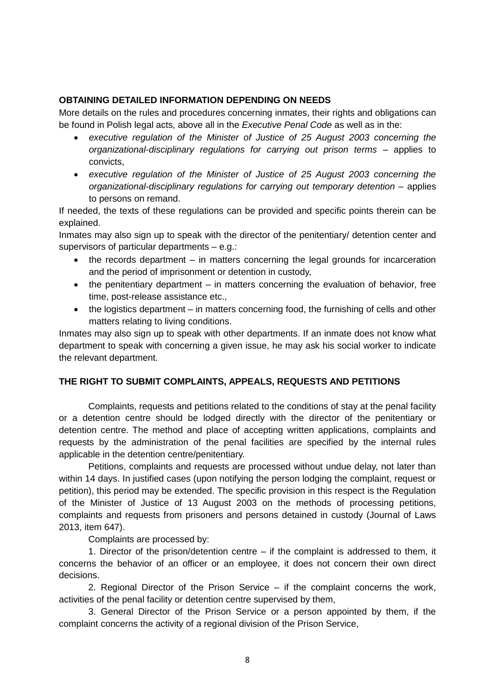#### **OBTAINING DETAILED INFORMATION DEPENDING ON NEEDS**

More details on the rules and procedures concerning inmates, their rights and obligations can be found in Polish legal acts, above all in the *Executive Penal Code* as well as in the:

- *executive regulation of the Minister of Justice of 25 August 2003 concerning the organizational-disciplinary regulations for carrying out prison terms* – applies to convicts,
- *executive regulation of the Minister of Justice of 25 August 2003 concerning the organizational-disciplinary regulations for carrying out temporary detention* – applies to persons on remand.

If needed, the texts of these regulations can be provided and specific points therein can be explained.

Inmates may also sign up to speak with the director of the penitentiary/ detention center and supervisors of particular departments – e.g.:

- the records department in matters concerning the legal grounds for incarceration and the period of imprisonment or detention in custody,
- the penitentiary department in matters concerning the evaluation of behavior, free time, post-release assistance etc.,
- the logistics department in matters concerning food, the furnishing of cells and other matters relating to living conditions.

Inmates may also sign up to speak with other departments. If an inmate does not know what department to speak with concerning a given issue, he may ask his social worker to indicate the relevant department.

## **THE RIGHT TO SUBMIT COMPLAINTS, APPEALS, REQUESTS AND PETITIONS**

Complaints, requests and petitions related to the conditions of stay at the penal facility or a detention centre should be lodged directly with the director of the penitentiary or detention centre. The method and place of accepting written applications, complaints and requests by the administration of the penal facilities are specified by the internal rules applicable in the detention centre/penitentiary.

Petitions, complaints and requests are processed without undue delay, not later than within 14 days. In justified cases (upon notifying the person lodging the complaint, request or petition), this period may be extended. The specific provision in this respect is the Regulation of the Minister of Justice of 13 August 2003 on the methods of processing petitions, complaints and requests from prisoners and persons detained in custody (Journal of Laws 2013, item 647).

Complaints are processed by:

1. Director of the prison/detention centre – if the complaint is addressed to them, it concerns the behavior of an officer or an employee, it does not concern their own direct decisions.

2. Regional Director of the Prison Service – if the complaint concerns the work, activities of the penal facility or detention centre supervised by them,

3. General Director of the Prison Service or a person appointed by them, if the complaint concerns the activity of a regional division of the Prison Service,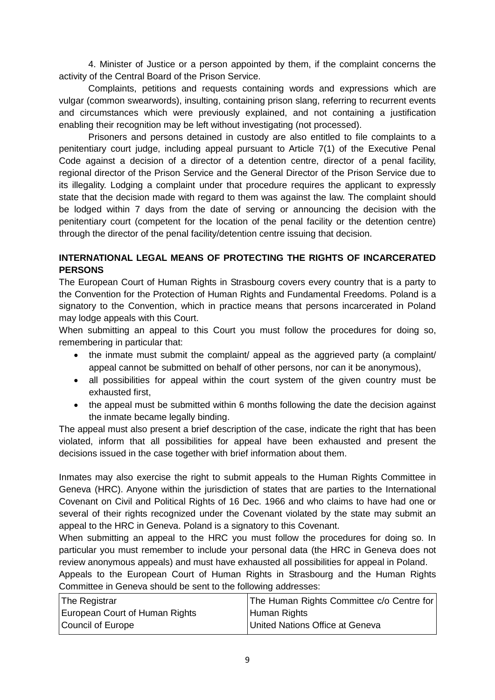4. Minister of Justice or a person appointed by them, if the complaint concerns the activity of the Central Board of the Prison Service.

Complaints, petitions and requests containing words and expressions which are vulgar (common swearwords), insulting, containing prison slang, referring to recurrent events and circumstances which were previously explained, and not containing a justification enabling their recognition may be left without investigating (not processed).

Prisoners and persons detained in custody are also entitled to file complaints to a penitentiary court judge, including appeal pursuant to Article 7(1) of the Executive Penal Code against a decision of a director of a detention centre, director of a penal facility, regional director of the Prison Service and the General Director of the Prison Service due to its illegality. Lodging a complaint under that procedure requires the applicant to expressly state that the decision made with regard to them was against the law. The complaint should be lodged within 7 days from the date of serving or announcing the decision with the penitentiary court (competent for the location of the penal facility or the detention centre) through the director of the penal facility/detention centre issuing that decision.

## **INTERNATIONAL LEGAL MEANS OF PROTECTING THE RIGHTS OF INCARCERATED PERSONS**

The European Court of Human Rights in Strasbourg covers every country that is a party to the Convention for the Protection of Human Rights and Fundamental Freedoms. Poland is a signatory to the Convention, which in practice means that persons incarcerated in Poland may lodge appeals with this Court.

When submitting an appeal to this Court you must follow the procedures for doing so, remembering in particular that:

- the inmate must submit the complaint/ appeal as the aggrieved party (a complaint/ appeal cannot be submitted on behalf of other persons, nor can it be anonymous),
- all possibilities for appeal within the court system of the given country must be exhausted first,
- the appeal must be submitted within 6 months following the date the decision against the inmate became legally binding.

The appeal must also present a brief description of the case, indicate the right that has been violated, inform that all possibilities for appeal have been exhausted and present the decisions issued in the case together with brief information about them.

Inmates may also exercise the right to submit appeals to the Human Rights Committee in Geneva (HRC). Anyone within the jurisdiction of states that are parties to the International Covenant on Civil and Political Rights of 16 Dec. 1966 and who claims to have had one or several of their rights recognized under the Covenant violated by the state may submit an appeal to the HRC in Geneva. Poland is a signatory to this Covenant.

When submitting an appeal to the HRC you must follow the procedures for doing so. In particular you must remember to include your personal data (the HRC in Geneva does not review anonymous appeals) and must have exhausted all possibilities for appeal in Poland.

Appeals to the European Court of Human Rights in Strasbourg and the Human Rights Committee in Geneva should be sent to the following addresses:

| The Registrar                  | The Human Rights Committee c/o Centre for |
|--------------------------------|-------------------------------------------|
| European Court of Human Rights | Human Rights                              |
| Council of Europe              | United Nations Office at Geneva           |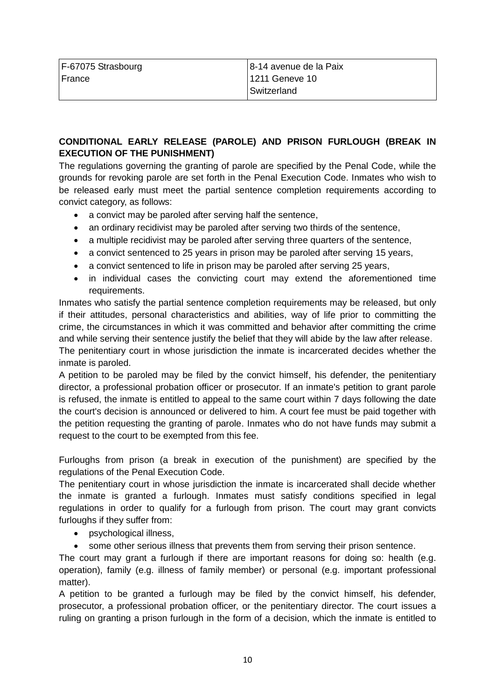| F-67075 Strasbourg | 8-14 avenue de la Paix |
|--------------------|------------------------|
| France             | 1211 Geneve 10         |
|                    | Switzerland            |

# **CONDITIONAL EARLY RELEASE (PAROLE) AND PRISON FURLOUGH (BREAK IN EXECUTION OF THE PUNISHMENT)**

The regulations governing the granting of parole are specified by the Penal Code, while the grounds for revoking parole are set forth in the Penal Execution Code. Inmates who wish to be released early must meet the partial sentence completion requirements according to convict category, as follows:

- a convict may be paroled after serving half the sentence,
- an ordinary recidivist may be paroled after serving two thirds of the sentence,
- a multiple recidivist may be paroled after serving three quarters of the sentence,
- a convict sentenced to 25 years in prison may be paroled after serving 15 years,
- a convict sentenced to life in prison may be paroled after serving 25 years,
- in individual cases the convicting court may extend the aforementioned time requirements.

Inmates who satisfy the partial sentence completion requirements may be released, but only if their attitudes, personal characteristics and abilities, way of life prior to committing the crime, the circumstances in which it was committed and behavior after committing the crime and while serving their sentence justify the belief that they will abide by the law after release.

The penitentiary court in whose jurisdiction the inmate is incarcerated decides whether the inmate is paroled.

A petition to be paroled may be filed by the convict himself, his defender, the penitentiary director, a professional probation officer or prosecutor. If an inmate's petition to grant parole is refused, the inmate is entitled to appeal to the same court within 7 days following the date the court's decision is announced or delivered to him. A court fee must be paid together with the petition requesting the granting of parole. Inmates who do not have funds may submit a request to the court to be exempted from this fee.

Furloughs from prison (a break in execution of the punishment) are specified by the regulations of the Penal Execution Code.

The penitentiary court in whose jurisdiction the inmate is incarcerated shall decide whether the inmate is granted a furlough. Inmates must satisfy conditions specified in legal regulations in order to qualify for a furlough from prison. The court may grant convicts furloughs if they suffer from:

- psychological illness,
- some other serious illness that prevents them from serving their prison sentence.

The court may grant a furlough if there are important reasons for doing so: health (e.g. operation), family (e.g. illness of family member) or personal (e.g. important professional matter).

A petition to be granted a furlough may be filed by the convict himself, his defender, prosecutor, a professional probation officer, or the penitentiary director. The court issues a ruling on granting a prison furlough in the form of a decision, which the inmate is entitled to